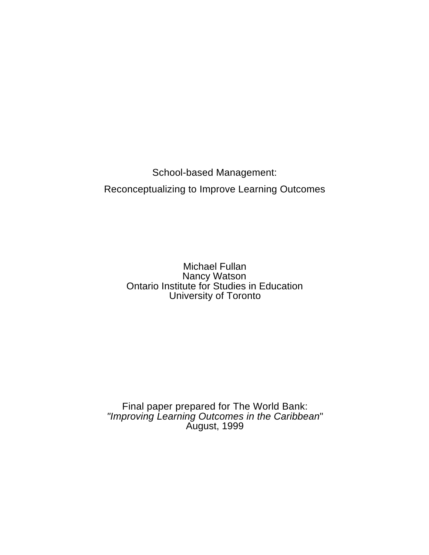School-based Management: Reconceptualizing to Improve Learning Outcomes

> Michael Fullan Nancy Watson Ontario Institute for Studies in Education University of Toronto

Final paper prepared for The World Bank: *"Improving Learning Outcomes in the Caribbean*" August, 1999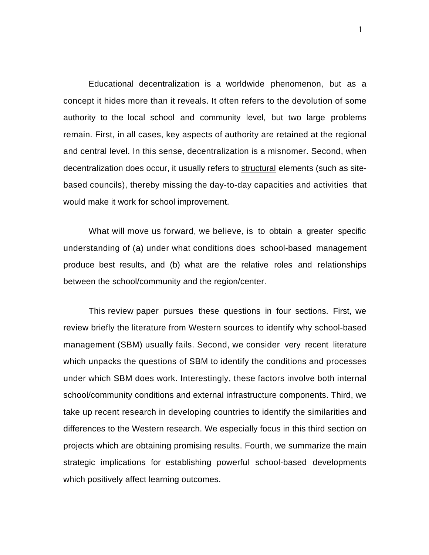Educational decentralization is a worldwide phenomenon, but as a concept it hides more than it reveals. It often refers to the devolution of some authority to the local school and community level, but two large problems remain. First, in all cases, key aspects of authority are retained at the regional and central level. In this sense, decentralization is a misnomer. Second, when decentralization does occur, it usually refers to structural elements (such as sitebased councils), thereby missing the day-to-day capacities and activities that would make it work for school improvement.

What will move us forward, we believe, is to obtain a greater specific understanding of (a) under what conditions does school-based management produce best results, and (b) what are the relative roles and relationships between the school/community and the region/center.

This review paper pursues these questions in four sections. First, we review briefly the literature from Western sources to identify why school-based management (SBM) usually fails. Second, we consider very recent literature which unpacks the questions of SBM to identify the conditions and processes under which SBM does work. Interestingly, these factors involve both internal school/community conditions and external infrastructure components. Third, we take up recent research in developing countries to identify the similarities and differences to the Western research. We especially focus in this third section on projects which are obtaining promising results. Fourth, we summarize the main strategic implications for establishing powerful school-based developments which positively affect learning outcomes.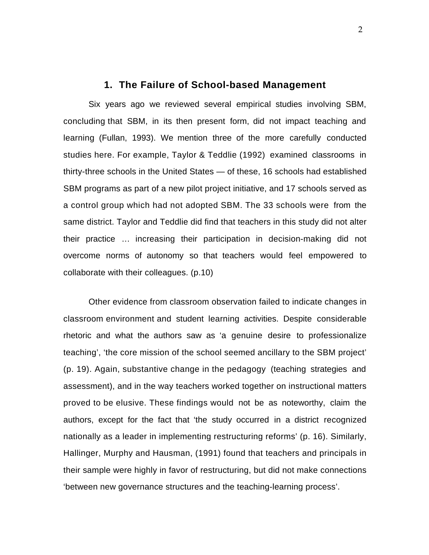### **1. The Failure of School-based Management**

Six years ago we reviewed several empirical studies involving SBM, concluding that SBM, in its then present form, did not impact teaching and learning (Fullan, 1993). We mention three of the more carefully conducted studies here. For example, Taylor & Teddlie (1992) examined classrooms in thirty-three schools in the United States — of these, 16 schools had established SBM programs as part of a new pilot project initiative, and 17 schools served as a control group which had not adopted SBM. The 33 schools were from the same district. Taylor and Teddlie did find that teachers in this study did not alter their practice … increasing their participation in decision-making did not overcome norms of autonomy so that teachers would feel empowered to collaborate with their colleagues. (p.10)

Other evidence from classroom observation failed to indicate changes in classroom environment and student learning activities. Despite considerable rhetoric and what the authors saw as 'a genuine desire to professionalize teaching', 'the core mission of the school seemed ancillary to the SBM project' (p. 19). Again, substantive change in the pedagogy (teaching strategies and assessment), and in the way teachers worked together on instructional matters proved to be elusive. These findings would not be as noteworthy, claim the authors, except for the fact that 'the study occurred in a district recognized nationally as a leader in implementing restructuring reforms' (p. 16). Similarly, Hallinger, Murphy and Hausman, (1991) found that teachers and principals in their sample were highly in favor of restructuring, but did not make connections 'between new governance structures and the teaching-learning process'.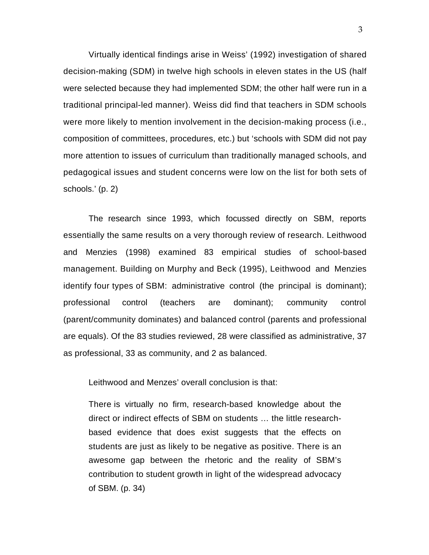Virtually identical findings arise in Weiss' (1992) investigation of shared decision-making (SDM) in twelve high schools in eleven states in the US (half were selected because they had implemented SDM; the other half were run in a traditional principal-led manner). Weiss did find that teachers in SDM schools were more likely to mention involvement in the decision-making process (i.e., composition of committees, procedures, etc.) but 'schools with SDM did not pay more attention to issues of curriculum than traditionally managed schools, and pedagogical issues and student concerns were low on the list for both sets of schools.' (p. 2)

The research since 1993, which focussed directly on SBM, reports essentially the same results on a very thorough review of research. Leithwood and Menzies (1998) examined 83 empirical studies of school-based management. Building on Murphy and Beck (1995), Leithwood and Menzies identify four types of SBM: administrative control (the principal is dominant); professional control (teachers are dominant); community control (parent/community dominates) and balanced control (parents and professional are equals). Of the 83 studies reviewed, 28 were classified as administrative, 37 as professional, 33 as community, and 2 as balanced.

Leithwood and Menzes' overall conclusion is that:

There is virtually no firm, research-based knowledge about the direct or indirect effects of SBM on students … the little researchbased evidence that does exist suggests that the effects on students are just as likely to be negative as positive. There is an awesome gap between the rhetoric and the reality of SBM's contribution to student growth in light of the widespread advocacy of SBM. (p. 34)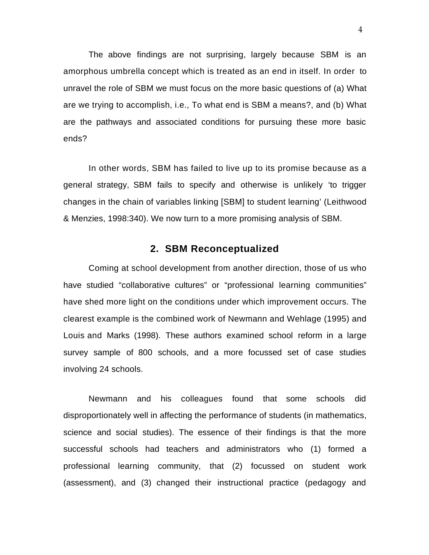The above findings are not surprising, largely because SBM is an amorphous umbrella concept which is treated as an end in itself. In order to unravel the role of SBM we must focus on the more basic questions of (a) What are we trying to accomplish, i.e., To what end is SBM a means?, and (b) What are the pathways and associated conditions for pursuing these more basic ends?

In other words, SBM has failed to live up to its promise because as a general strategy, SBM fails to specify and otherwise is unlikely 'to trigger changes in the chain of variables linking [SBM] to student learning' (Leithwood & Menzies, 1998:340). We now turn to a more promising analysis of SBM.

## **2. SBM Reconceptualized**

Coming at school development from another direction, those of us who have studied "collaborative cultures" or "professional learning communities" have shed more light on the conditions under which improvement occurs. The clearest example is the combined work of Newmann and Wehlage (1995) and Louis and Marks (1998). These authors examined school reform in a large survey sample of 800 schools, and a more focussed set of case studies involving 24 schools.

Newmann and his colleagues found that some schools did disproportionately well in affecting the performance of students (in mathematics, science and social studies). The essence of their findings is that the more successful schools had teachers and administrators who (1) formed a professional learning community, that (2) focussed on student work (assessment), and (3) changed their instructional practice (pedagogy and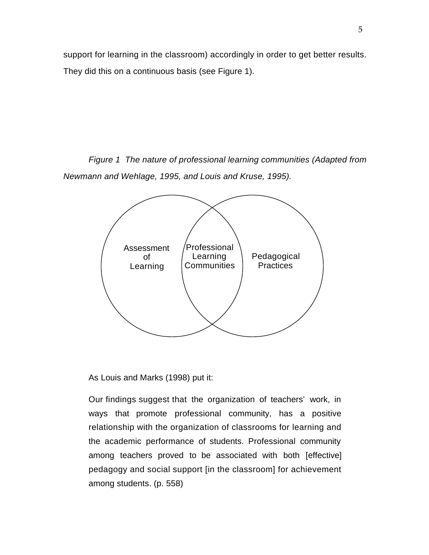support for learning in the classroom) accordingly in order to get better results. They did this on a continuous basis (see Figure 1).

*Figure 1 The nature of professional learning communities (Adapted from Newmann and Wehlage, 1995, and Louis and Kruse, 1995).*



As Louis and Marks (1998) put it:

Our findings suggest that the organization of teachers' work, in ways that promote professional community, has a positive relationship with the organization of classrooms for learning and the academic performance of students. Professional community among teachers proved to be associated with both [effective] pedagogy and social support [in the classroom] for achievement among students. (p. 558)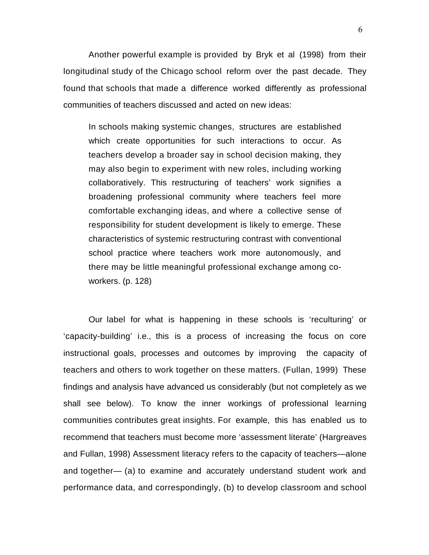Another powerful example is provided by Bryk et al (1998) from their longitudinal study of the Chicago school reform over the past decade. They found that schools that made a difference worked differently as professional communities of teachers discussed and acted on new ideas:

In schools making systemic changes, structures are established which create opportunities for such interactions to occur. As teachers develop a broader say in school decision making, they may also begin to experiment with new roles, including working collaboratively. This restructuring of teachers' work signifies a broadening professional community where teachers feel more comfortable exchanging ideas, and where a collective sense of responsibility for student development is likely to emerge. These characteristics of systemic restructuring contrast with conventional school practice where teachers work more autonomously, and there may be little meaningful professional exchange among coworkers. (p. 128)

Our label for what is happening in these schools is 'reculturing' or 'capacity-building' i.e., this is a process of increasing the focus on core instructional goals, processes and outcomes by improving the capacity of teachers and others to work together on these matters. (Fullan, 1999) These findings and analysis have advanced us considerably (but not completely as we shall see below). To know the inner workings of professional learning communities contributes great insights. For example, this has enabled us to recommend that teachers must become more 'assessment literate' (Hargreaves and Fullan, 1998) Assessment literacy refers to the capacity of teachers—alone and together— (a) to examine and accurately understand student work and performance data, and correspondingly, (b) to develop classroom and school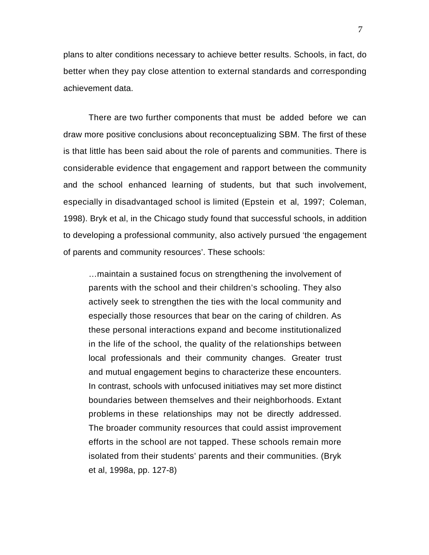plans to alter conditions necessary to achieve better results. Schools, in fact, do better when they pay close attention to external standards and corresponding achievement data.

There are two further components that must be added before we can draw more positive conclusions about reconceptualizing SBM. The first of these is that little has been said about the role of parents and communities. There is considerable evidence that engagement and rapport between the community and the school enhanced learning of students, but that such involvement, especially in disadvantaged school is limited (Epstein et al, 1997; Coleman, 1998). Bryk et al, in the Chicago study found that successful schools, in addition to developing a professional community, also actively pursued 'the engagement of parents and community resources'. These schools:

…maintain a sustained focus on strengthening the involvement of parents with the school and their children's schooling. They also actively seek to strengthen the ties with the local community and especially those resources that bear on the caring of children. As these personal interactions expand and become institutionalized in the life of the school, the quality of the relationships between local professionals and their community changes. Greater trust and mutual engagement begins to characterize these encounters. In contrast, schools with unfocused initiatives may set more distinct boundaries between themselves and their neighborhoods. Extant problems in these relationships may not be directly addressed. The broader community resources that could assist improvement efforts in the school are not tapped. These schools remain more isolated from their students' parents and their communities. (Bryk et al, 1998a, pp. 127-8)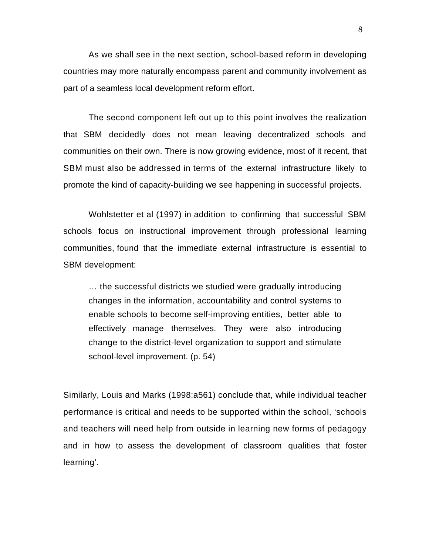As we shall see in the next section, school-based reform in developing countries may more naturally encompass parent and community involvement as part of a seamless local development reform effort.

The second component left out up to this point involves the realization that SBM decidedly does not mean leaving decentralized schools and communities on their own. There is now growing evidence, most of it recent, that SBM must also be addressed in terms of the external infrastructure likely to promote the kind of capacity-building we see happening in successful projects.

Wohlstetter et al (1997) in addition to confirming that successful SBM schools focus on instructional improvement through professional learning communities, found that the immediate external infrastructure is essential to SBM development:

… the successful districts we studied were gradually introducing changes in the information, accountability and control systems to enable schools to become self-improving entities, better able to effectively manage themselves. They were also introducing change to the district-level organization to support and stimulate school-level improvement. (p. 54)

Similarly, Louis and Marks (1998:a561) conclude that, while individual teacher performance is critical and needs to be supported within the school, 'schools and teachers will need help from outside in learning new forms of pedagogy and in how to assess the development of classroom qualities that foster learning'.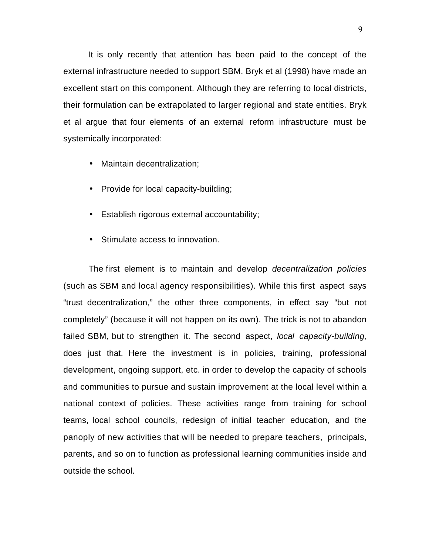It is only recently that attention has been paid to the concept of the external infrastructure needed to support SBM. Bryk et al (1998) have made an excellent start on this component. Although they are referring to local districts, their formulation can be extrapolated to larger regional and state entities. Bryk et al argue that four elements of an external reform infrastructure must be systemically incorporated:

- Maintain decentralization;
- Provide for local capacity-building;
- Establish rigorous external accountability;
- Stimulate access to innovation.

The first element is to maintain and develop *decentralization policies* (such as SBM and local agency responsibilities). While this first aspect says "trust decentralization," the other three components, in effect say "but not completely" (because it will not happen on its own). The trick is not to abandon failed SBM, but to strengthen it. The second aspect, *local capacity-building*, does just that. Here the investment is in policies, training, professional development, ongoing support, etc. in order to develop the capacity of schools and communities to pursue and sustain improvement at the local level within a national context of policies. These activities range from training for school teams, local school councils, redesign of initial teacher education, and the panoply of new activities that will be needed to prepare teachers, principals, parents, and so on to function as professional learning communities inside and outside the school.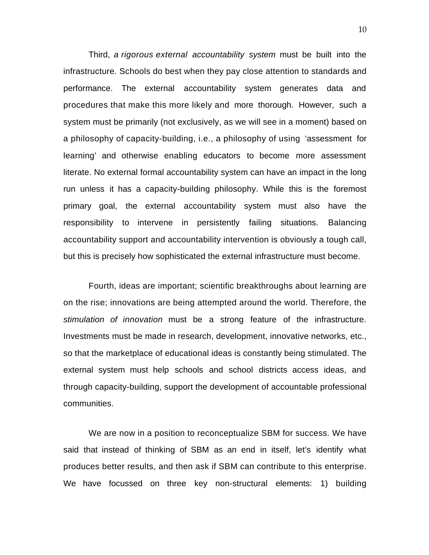Third, *a rigorous external accountability system* must be built into the infrastructure. Schools do best when they pay close attention to standards and performance. The external accountability system generates data and procedures that make this more likely and more thorough. However, such a system must be primarily (not exclusively, as we will see in a moment) based on a philosophy of capacity-building, i.e., a philosophy of using 'assessment for learning' and otherwise enabling educators to become more assessment literate. No external formal accountability system can have an impact in the long run unless it has a capacity-building philosophy. While this is the foremost primary goal, the external accountability system must also have the responsibility to intervene in persistently failing situations. Balancing accountability support and accountability intervention is obviously a tough call, but this is precisely how sophisticated the external infrastructure must become.

Fourth, ideas are important; scientific breakthroughs about learning are on the rise; innovations are being attempted around the world. Therefore, the *stimulation of innovation* must be a strong feature of the infrastructure. Investments must be made in research, development, innovative networks, etc., so that the marketplace of educational ideas is constantly being stimulated. The external system must help schools and school districts access ideas, and through capacity-building, support the development of accountable professional communities.

We are now in a position to reconceptualize SBM for success. We have said that instead of thinking of SBM as an end in itself, let's identify what produces better results, and then ask if SBM can contribute to this enterprise. We have focussed on three key non-structural elements: 1) building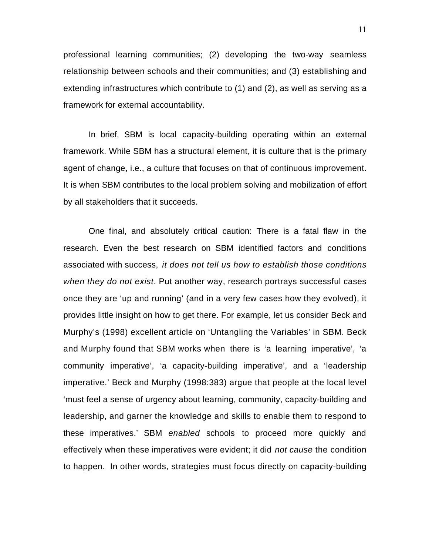professional learning communities; (2) developing the two-way seamless relationship between schools and their communities; and (3) establishing and extending infrastructures which contribute to (1) and (2), as well as serving as a framework for external accountability.

In brief, SBM is local capacity-building operating within an external framework. While SBM has a structural element, it is culture that is the primary agent of change, i.e., a culture that focuses on that of continuous improvement. It is when SBM contributes to the local problem solving and mobilization of effort by all stakeholders that it succeeds.

One final, and absolutely critical caution: There is a fatal flaw in the research. Even the best research on SBM identified factors and conditions associated with success, *it does not tell us how to establish those conditions when they do not exist*. Put another way, research portrays successful cases once they are 'up and running' (and in a very few cases how they evolved), it provides little insight on how to get there. For example, let us consider Beck and Murphy's (1998) excellent article on 'Untangling the Variables' in SBM. Beck and Murphy found that SBM works when there is 'a learning imperative', 'a community imperative', 'a capacity-building imperative', and a 'leadership imperative.' Beck and Murphy (1998:383) argue that people at the local level 'must feel a sense of urgency about learning, community, capacity-building and leadership, and garner the knowledge and skills to enable them to respond to these imperatives.' SBM *enabled* schools to proceed more quickly and effectively when these imperatives were evident; it did *not cause* the condition to happen. In other words, strategies must focus directly on capacity-building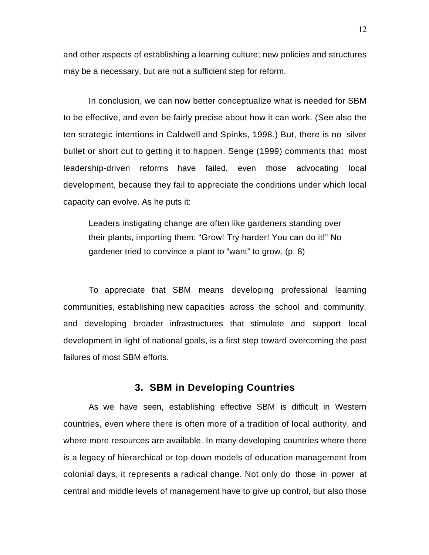and other aspects of establishing a learning culture; new policies and structures may be a necessary, but are not a sufficient step for reform.

In conclusion, we can now better conceptualize what is needed for SBM to be effective, and even be fairly precise about how it can work. (See also the ten strategic intentions in Caldwell and Spinks, 1998.) But, there is no silver bullet or short cut to getting it to happen. Senge (1999) comments that most leadership-driven reforms have failed, even those advocating local development, because they fail to appreciate the conditions under which local capacity can evolve. As he puts it:

Leaders instigating change are often like gardeners standing over their plants, importing them: "Grow! Try harder! You can do it!" No gardener tried to convince a plant to "want" to grow. (p. 8)

To appreciate that SBM means developing professional learning communities, establishing new capacities across the school and community, and developing broader infrastructures that stimulate and support local development in light of national goals, is a first step toward overcoming the past failures of most SBM efforts.

# **3. SBM in Developing Countries**

As we have seen, establishing effective SBM is difficult in Western countries, even where there is often more of a tradition of local authority, and where more resources are available. In many developing countries where there is a legacy of hierarchical or top-down models of education management from colonial days, it represents a radical change. Not only do those in power at central and middle levels of management have to give up control, but also those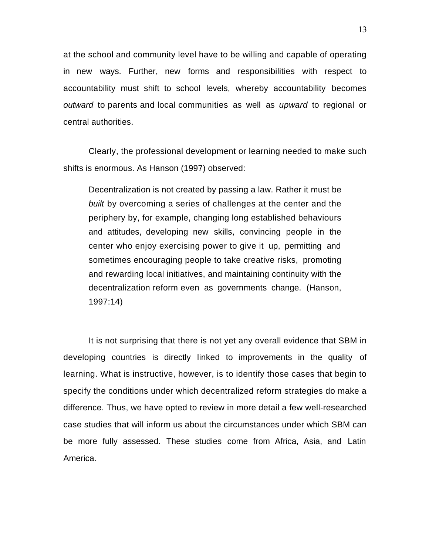at the school and community level have to be willing and capable of operating in new ways. Further, new forms and responsibilities with respect to accountability must shift to school levels, whereby accountability becomes *outward* to parents and local communities as well as *upward* to regional or central authorities.

Clearly, the professional development or learning needed to make such shifts is enormous. As Hanson (1997) observed:

Decentralization is not created by passing a law. Rather it must be *built* by overcoming a series of challenges at the center and the periphery by, for example, changing long established behaviours and attitudes, developing new skills, convincing people in the center who enjoy exercising power to give it up, permitting and sometimes encouraging people to take creative risks, promoting and rewarding local initiatives, and maintaining continuity with the decentralization reform even as governments change. (Hanson, 1997:14)

It is not surprising that there is not yet any overall evidence that SBM in developing countries is directly linked to improvements in the quality of learning. What is instructive, however, is to identify those cases that begin to specify the conditions under which decentralized reform strategies do make a difference. Thus, we have opted to review in more detail a few well-researched case studies that will inform us about the circumstances under which SBM can be more fully assessed. These studies come from Africa, Asia, and Latin America.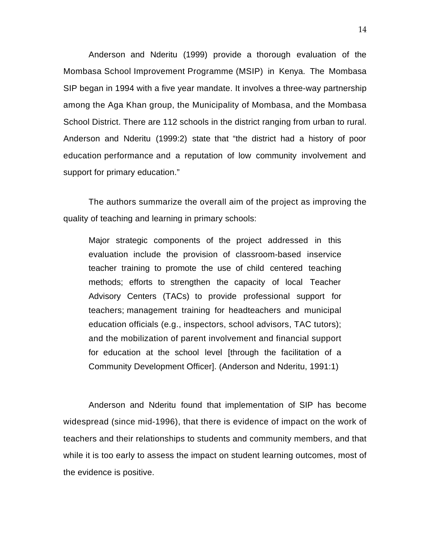Anderson and Nderitu (1999) provide a thorough evaluation of the Mombasa School Improvement Programme (MSIP) in Kenya. The Mombasa SIP began in 1994 with a five year mandate. It involves a three-way partnership among the Aga Khan group, the Municipality of Mombasa, and the Mombasa School District. There are 112 schools in the district ranging from urban to rural. Anderson and Nderitu (1999:2) state that "the district had a history of poor education performance and a reputation of low community involvement and support for primary education."

The authors summarize the overall aim of the project as improving the quality of teaching and learning in primary schools:

Major strategic components of the project addressed in this evaluation include the provision of classroom-based inservice teacher training to promote the use of child centered teaching methods; efforts to strengthen the capacity of local Teacher Advisory Centers (TACs) to provide professional support for teachers; management training for headteachers and municipal education officials (e.g., inspectors, school advisors, TAC tutors); and the mobilization of parent involvement and financial support for education at the school level [through the facilitation of a Community Development Officer]. (Anderson and Nderitu, 1991:1)

Anderson and Nderitu found that implementation of SIP has become widespread (since mid-1996), that there is evidence of impact on the work of teachers and their relationships to students and community members, and that while it is too early to assess the impact on student learning outcomes, most of the evidence is positive.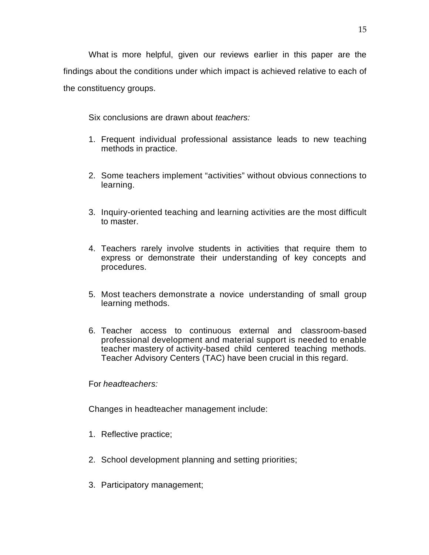What is more helpful, given our reviews earlier in this paper are the findings about the conditions under which impact is achieved relative to each of the constituency groups.

Six conclusions are drawn about *teachers:*

- 1. Frequent individual professional assistance leads to new teaching methods in practice.
- 2. Some teachers implement "activities" without obvious connections to learning.
- 3. Inquiry-oriented teaching and learning activities are the most difficult to master.
- 4. Teachers rarely involve students in activities that require them to express or demonstrate their understanding of key concepts and procedures.
- 5. Most teachers demonstrate a novice understanding of small group learning methods.
- 6. Teacher access to continuous external and classroom-based professional development and material support is needed to enable teacher mastery of activity-based child centered teaching methods. Teacher Advisory Centers (TAC) have been crucial in this regard.

For *headteachers:*

Changes in headteacher management include:

- 1. Reflective practice;
- 2. School development planning and setting priorities;
- 3. Participatory management;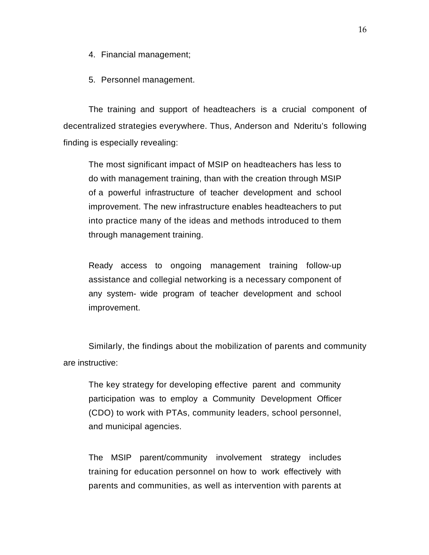- 4. Financial management;
- 5. Personnel management.

The training and support of headteachers is a crucial component of decentralized strategies everywhere. Thus, Anderson and Nderitu's following finding is especially revealing:

The most significant impact of MSIP on headteachers has less to do with management training, than with the creation through MSIP of a powerful infrastructure of teacher development and school improvement. The new infrastructure enables headteachers to put into practice many of the ideas and methods introduced to them through management training.

Ready access to ongoing management training follow-up assistance and collegial networking is a necessary component of any system- wide program of teacher development and school improvement.

Similarly, the findings about the mobilization of parents and community are instructive:

The key strategy for developing effective parent and community participation was to employ a Community Development Officer (CDO) to work with PTAs, community leaders, school personnel, and municipal agencies.

The MSIP parent/community involvement strategy includes training for education personnel on how to work effectively with parents and communities, as well as intervention with parents at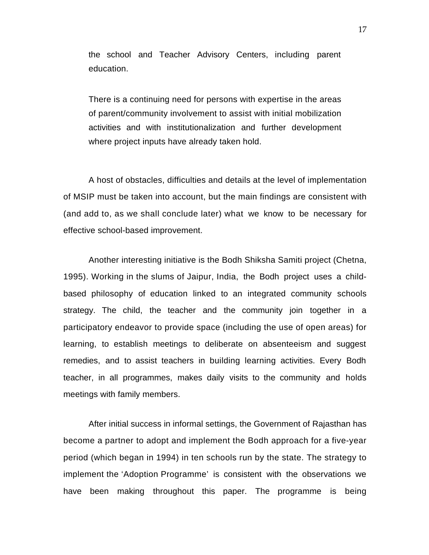the school and Teacher Advisory Centers, including parent education.

There is a continuing need for persons with expertise in the areas of parent/community involvement to assist with initial mobilization activities and with institutionalization and further development where project inputs have already taken hold.

A host of obstacles, difficulties and details at the level of implementation of MSIP must be taken into account, but the main findings are consistent with (and add to, as we shall conclude later) what we know to be necessary for effective school-based improvement.

Another interesting initiative is the Bodh Shiksha Samiti project (Chetna, 1995). Working in the slums of Jaipur, India, the Bodh project uses a childbased philosophy of education linked to an integrated community schools strategy. The child, the teacher and the community join together in a participatory endeavor to provide space (including the use of open areas) for learning, to establish meetings to deliberate on absenteeism and suggest remedies, and to assist teachers in building learning activities. Every Bodh teacher, in all programmes, makes daily visits to the community and holds meetings with family members.

After initial success in informal settings, the Government of Rajasthan has become a partner to adopt and implement the Bodh approach for a five-year period (which began in 1994) in ten schools run by the state. The strategy to implement the 'Adoption Programme' is consistent with the observations we have been making throughout this paper. The programme is being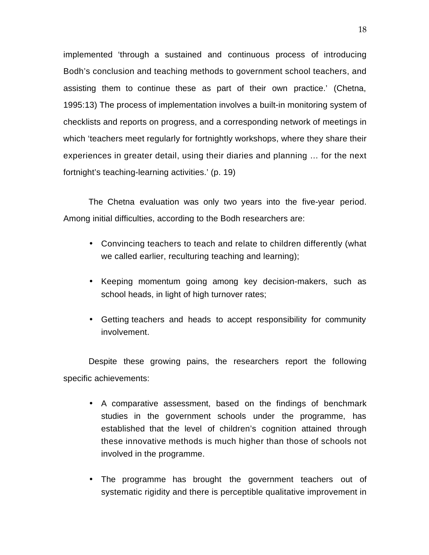implemented 'through a sustained and continuous process of introducing Bodh's conclusion and teaching methods to government school teachers, and assisting them to continue these as part of their own practice.' (Chetna, 1995:13) The process of implementation involves a built-in monitoring system of checklists and reports on progress, and a corresponding network of meetings in which 'teachers meet regularly for fortnightly workshops, where they share their experiences in greater detail, using their diaries and planning … for the next fortnight's teaching-learning activities.' (p. 19)

The Chetna evaluation was only two years into the five-year period. Among initial difficulties, according to the Bodh researchers are:

- Convincing teachers to teach and relate to children differently (what we called earlier, reculturing teaching and learning);
- Keeping momentum going among key decision-makers, such as school heads, in light of high turnover rates;
- Getting teachers and heads to accept responsibility for community involvement.

Despite these growing pains, the researchers report the following specific achievements:

- A comparative assessment, based on the findings of benchmark studies in the government schools under the programme, has established that the level of children's cognition attained through these innovative methods is much higher than those of schools not involved in the programme.
- The programme has brought the government teachers out of systematic rigidity and there is perceptible qualitative improvement in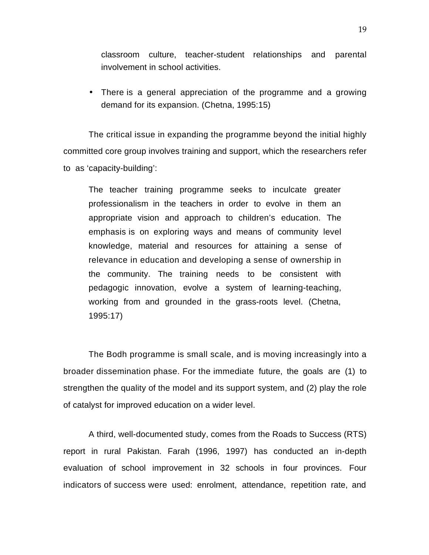classroom culture, teacher-student relationships and parental involvement in school activities.

• There is a general appreciation of the programme and a growing demand for its expansion. (Chetna, 1995:15)

The critical issue in expanding the programme beyond the initial highly committed core group involves training and support, which the researchers refer to as 'capacity-building':

The teacher training programme seeks to inculcate greater professionalism in the teachers in order to evolve in them an appropriate vision and approach to children's education. The emphasis is on exploring ways and means of community level knowledge, material and resources for attaining a sense of relevance in education and developing a sense of ownership in the community. The training needs to be consistent with pedagogic innovation, evolve a system of learning-teaching, working from and grounded in the grass-roots level. (Chetna, 1995:17)

The Bodh programme is small scale, and is moving increasingly into a broader dissemination phase. For the immediate future, the goals are (1) to strengthen the quality of the model and its support system, and (2) play the role of catalyst for improved education on a wider level.

A third, well-documented study, comes from the Roads to Success (RTS) report in rural Pakistan. Farah (1996, 1997) has conducted an in-depth evaluation of school improvement in 32 schools in four provinces. Four indicators of success were used: enrolment, attendance, repetition rate, and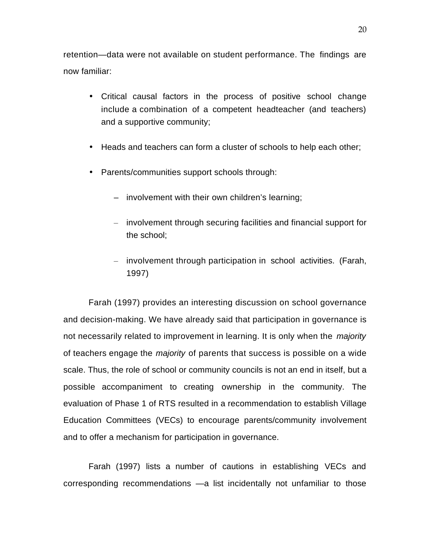retention—data were not available on student performance. The findings are now familiar:

- Critical causal factors in the process of positive school change include a combination of a competent headteacher (and teachers) and a supportive community;
- Heads and teachers can form a cluster of schools to help each other;
- Parents/communities support schools through:
	- involvement with their own children's learning;
	- involvement through securing facilities and financial support for the school;
	- involvement through participation in school activities. (Farah, 1997)

Farah (1997) provides an interesting discussion on school governance and decision-making. We have already said that participation in governance is not necessarily related to improvement in learning. It is only when the *majority* of teachers engage the *majority* of parents that success is possible on a wide scale. Thus, the role of school or community councils is not an end in itself, but a possible accompaniment to creating ownership in the community. The evaluation of Phase 1 of RTS resulted in a recommendation to establish Village Education Committees (VECs) to encourage parents/community involvement and to offer a mechanism for participation in governance.

Farah (1997) lists a number of cautions in establishing VECs and corresponding recommendations —a list incidentally not unfamiliar to those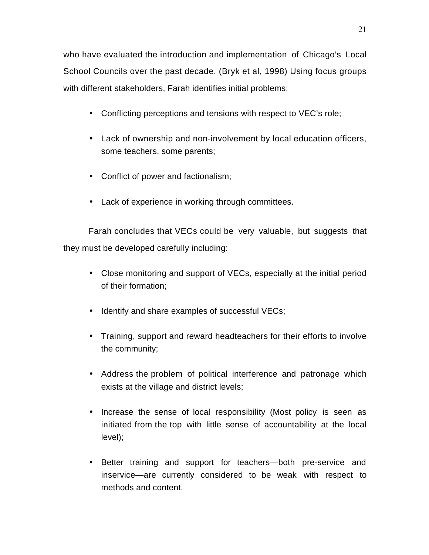who have evaluated the introduction and implementation of Chicago's Local School Councils over the past decade. (Bryk et al, 1998) Using focus groups with different stakeholders, Farah identifies initial problems:

- Conflicting perceptions and tensions with respect to VEC's role;
- Lack of ownership and non-involvement by local education officers, some teachers, some parents;
- Conflict of power and factionalism;
- Lack of experience in working through committees.

Farah concludes that VECs could be very valuable, but suggests that they must be developed carefully including:

- Close monitoring and support of VECs, especially at the initial period of their formation;
- Identify and share examples of successful VECs;
- Training, support and reward headteachers for their efforts to involve the community;
- Address the problem of political interference and patronage which exists at the village and district levels;
- Increase the sense of local responsibility (Most policy is seen as initiated from the top with little sense of accountability at the local level);
- Better training and support for teachers—both pre-service and inservice—are currently considered to be weak with respect to methods and content.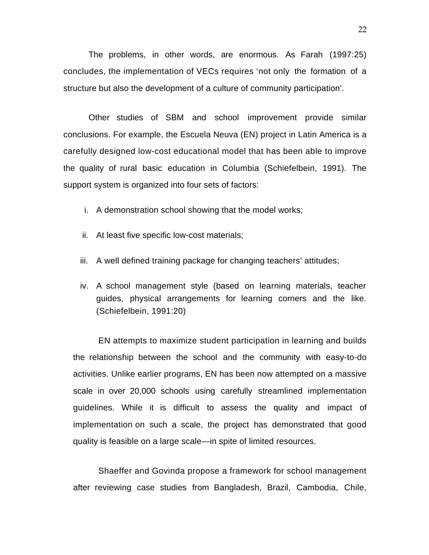The problems, in other words, are enormous. As Farah (1997:25) concludes, the implementation of VECs requires 'not only the formation of a structure but also the development of a culture of community participation'.

Other studies of SBM and school improvement provide similar conclusions. For example, the Escuela Neuva (EN) project in Latin America is a carefully designed low-cost educational model that has been able to improve the quality of rural basic education in Columbia (Schiefelbein, 1991). The support system is organized into four sets of factors:

- i. A demonstration school showing that the model works;
- ii. At least five specific low-cost materials;
- iii. A well defined training package for changing teachers' attitudes;
- iv. A school management style (based on learning materials, teacher guides, physical arrangements for learning corners and the like. (Schiefelbein, 1991:20)

EN attempts to maximize student participation in learning and builds the relationship between the school and the community with easy-to-do activities. Unlike earlier programs, EN has been now attempted on a massive scale in over 20,000 schools using carefully streamlined implementation guidelines. While it is difficult to assess the quality and impact of implementation on such a scale, the project has demonstrated that good quality is feasible on a large scale—in spite of limited resources.

Shaeffer and Govinda propose a framework for school management after reviewing case studies from Bangladesh, Brazil, Cambodia, Chile,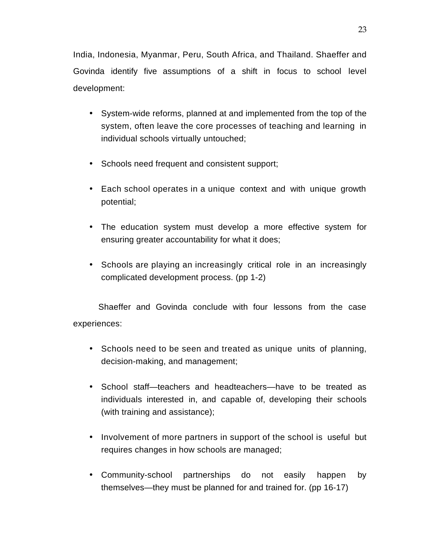India, Indonesia, Myanmar, Peru, South Africa, and Thailand. Shaeffer and Govinda identify five assumptions of a shift in focus to school level development:

- System-wide reforms, planned at and implemented from the top of the system, often leave the core processes of teaching and learning in individual schools virtually untouched;
- Schools need frequent and consistent support;
- Each school operates in a unique context and with unique growth potential;
- The education system must develop a more effective system for ensuring greater accountability for what it does;
- Schools are playing an increasingly critical role in an increasingly complicated development process. (pp 1-2)

Shaeffer and Govinda conclude with four lessons from the case

experiences:

- Schools need to be seen and treated as unique units of planning, decision-making, and management;
- School staff—teachers and headteachers—have to be treated as individuals interested in, and capable of, developing their schools (with training and assistance);
- Involvement of more partners in support of the school is useful but requires changes in how schools are managed;
- Community-school partnerships do not easily happen by themselves—they must be planned for and trained for. (pp 16-17)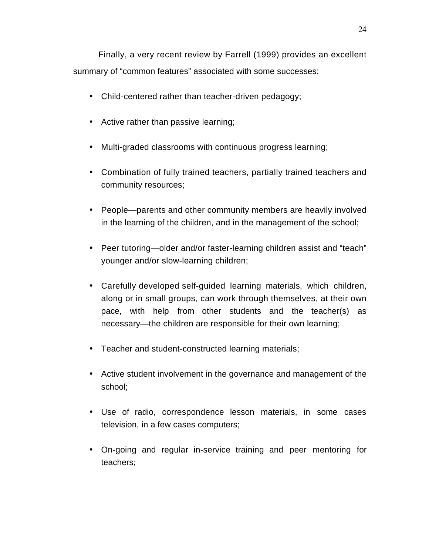Finally, a very recent review by Farrell (1999) provides an excellent summary of "common features" associated with some successes:

- Child-centered rather than teacher-driven pedagogy;
- Active rather than passive learning;
- Multi-graded classrooms with continuous progress learning;
- Combination of fully trained teachers, partially trained teachers and community resources;
- People—parents and other community members are heavily involved in the learning of the children, and in the management of the school;
- Peer tutoring—older and/or faster-learning children assist and "teach" younger and/or slow-learning children;
- Carefully developed self-guided learning materials, which children, along or in small groups, can work through themselves, at their own pace, with help from other students and the teacher(s) as necessary—the children are responsible for their own learning;
- Teacher and student-constructed learning materials;
- Active student involvement in the governance and management of the school;
- Use of radio, correspondence lesson materials, in some cases television, in a few cases computers;
- On-going and regular in-service training and peer mentoring for teachers;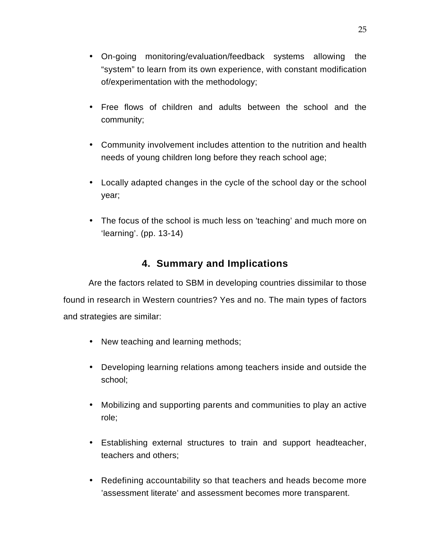- On-going monitoring/evaluation/feedback systems allowing the "system" to learn from its own experience, with constant modification of/experimentation with the methodology;
- Free flows of children and adults between the school and the community;
- Community involvement includes attention to the nutrition and health needs of young children long before they reach school age;
- Locally adapted changes in the cycle of the school day or the school year;
- The focus of the school is much less on 'teaching' and much more on 'learning'. (pp. 13-14)

# **4. Summary and Implications**

Are the factors related to SBM in developing countries dissimilar to those found in research in Western countries? Yes and no. The main types of factors and strategies are similar:

- New teaching and learning methods;
- Developing learning relations among teachers inside and outside the school;
- Mobilizing and supporting parents and communities to play an active role;
- Establishing external structures to train and support headteacher, teachers and others;
- Redefining accountability so that teachers and heads become more 'assessment literate' and assessment becomes more transparent.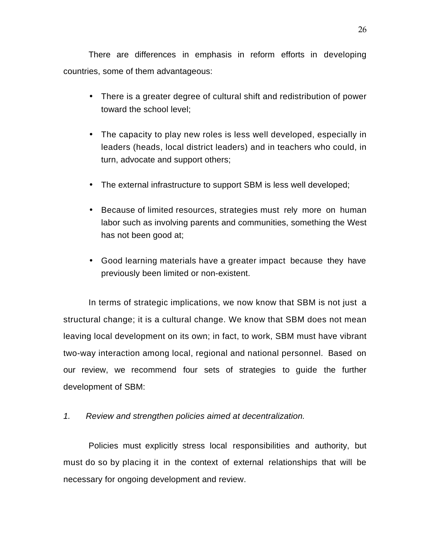There are differences in emphasis in reform efforts in developing countries, some of them advantageous:

- There is a greater degree of cultural shift and redistribution of power toward the school level;
- The capacity to play new roles is less well developed, especially in leaders (heads, local district leaders) and in teachers who could, in turn, advocate and support others;
- The external infrastructure to support SBM is less well developed;
- Because of limited resources, strategies must rely more on human labor such as involving parents and communities, something the West has not been good at;
- Good learning materials have a greater impact because they have previously been limited or non-existent.

In terms of strategic implications, we now know that SBM is not just a structural change; it is a cultural change. We know that SBM does not mean leaving local development on its own; in fact, to work, SBM must have vibrant two-way interaction among local, regional and national personnel. Based on our review, we recommend four sets of strategies to guide the further development of SBM:

*1. Review and strengthen policies aimed at decentralization.*

Policies must explicitly stress local responsibilities and authority, but must do so by placing it in the context of external relationships that will be necessary for ongoing development and review.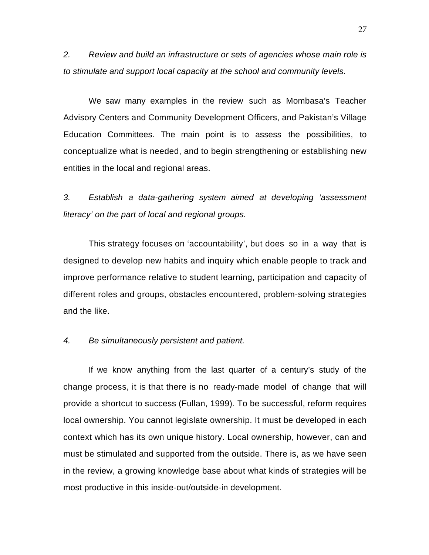*2. Review and build an infrastructure or sets of agencies whose main role is to stimulate and support local capacity at the school and community levels*.

We saw many examples in the review such as Mombasa's Teacher Advisory Centers and Community Development Officers, and Pakistan's Village Education Committees. The main point is to assess the possibilities, to conceptualize what is needed, and to begin strengthening or establishing new entities in the local and regional areas.

*3. Establish a data-gathering system aimed at developing 'assessment literacy' on the part of local and regional groups.*

This strategy focuses on 'accountability', but does so in a way that is designed to develop new habits and inquiry which enable people to track and improve performance relative to student learning, participation and capacity of different roles and groups, obstacles encountered, problem-solving strategies and the like.

### *4. Be simultaneously persistent and patient.*

If we know anything from the last quarter of a century's study of the change process, it is that there is no ready-made model of change that will provide a shortcut to success (Fullan, 1999). To be successful, reform requires local ownership. You cannot legislate ownership. It must be developed in each context which has its own unique history. Local ownership, however, can and must be stimulated and supported from the outside. There is, as we have seen in the review, a growing knowledge base about what kinds of strategies will be most productive in this inside-out/outside-in development.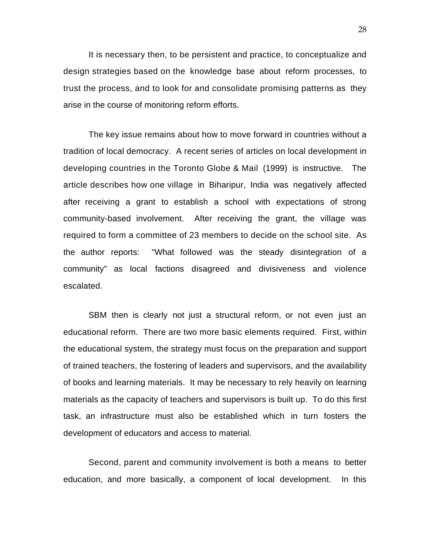It is necessary then, to be persistent and practice, to conceptualize and design strategies based on the knowledge base about reform processes, to trust the process, and to look for and consolidate promising patterns as they arise in the course of monitoring reform efforts.

The key issue remains about how to move forward in countries without a tradition of local democracy. A recent series of articles on local development in developing countries in the Toronto Globe & Mail (1999) is instructive. The article describes how one village in Biharipur, India was negatively affected after receiving a grant to establish a school with expectations of strong community-based involvement. After receiving the grant, the village was required to form a committee of 23 members to decide on the school site. As the author reports: "What followed was the steady disintegration of a community" as local factions disagreed and divisiveness and violence escalated.

SBM then is clearly not just a structural reform, or not even just an educational reform. There are two more basic elements required. First, within the educational system, the strategy must focus on the preparation and support of trained teachers, the fostering of leaders and supervisors, and the availability of books and learning materials. It may be necessary to rely heavily on learning materials as the capacity of teachers and supervisors is built up. To do this first task, an infrastructure must also be established which in turn fosters the development of educators and access to material.

Second, parent and community involvement is both a means to better education, and more basically, a component of local development. In this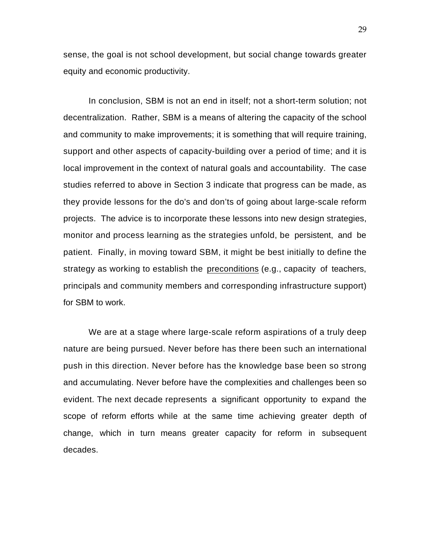sense, the goal is not school development, but social change towards greater equity and economic productivity.

In conclusion, SBM is not an end in itself; not a short-term solution; not decentralization. Rather, SBM is a means of altering the capacity of the school and community to make improvements; it is something that will require training, support and other aspects of capacity-building over a period of time; and it is local improvement in the context of natural goals and accountability. The case studies referred to above in Section 3 indicate that progress can be made, as they provide lessons for the do's and don'ts of going about large-scale reform projects. The advice is to incorporate these lessons into new design strategies, monitor and process learning as the strategies unfold, be persistent, and be patient. Finally, in moving toward SBM, it might be best initially to define the strategy as working to establish the preconditions (e.g., capacity of teachers, principals and community members and corresponding infrastructure support) for SBM to work.

We are at a stage where large-scale reform aspirations of a truly deep nature are being pursued. Never before has there been such an international push in this direction. Never before has the knowledge base been so strong and accumulating. Never before have the complexities and challenges been so evident. The next decade represents a significant opportunity to expand the scope of reform efforts while at the same time achieving greater depth of change, which in turn means greater capacity for reform in subsequent decades.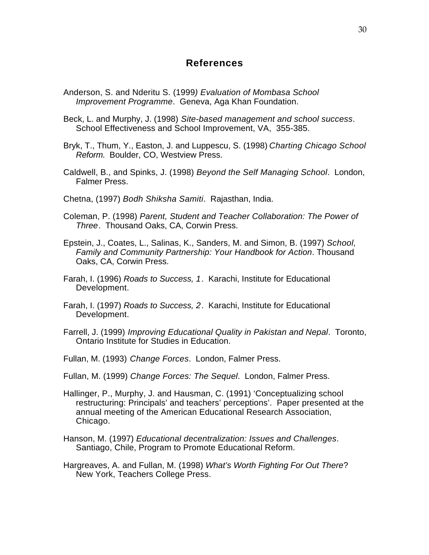## **References**

- Anderson, S. and Nderitu S. (1999*) Evaluation of Mombasa School Improvement Programme*. Geneva, Aga Khan Foundation.
- Beck, L. and Murphy, J. (1998) *Site-based management and school success*. School Effectiveness and School Improvement, VA, 355-385.
- Bryk, T., Thum, Y., Easton, J. and Luppescu, S. (1998) *Charting Chicago School Reform.* Boulder, CO, Westview Press.
- Caldwell, B., and Spinks, J. (1998) *Beyond the Self Managing School*. London, Falmer Press.
- Chetna, (1997) *Bodh Shiksha Samiti*. Rajasthan, India.
- Coleman, P. (1998) *Parent, Student and Teacher Collaboration: The Power of Three*. Thousand Oaks, CA, Corwin Press.
- Epstein, J., Coates, L., Salinas, K., Sanders, M. and Simon, B. (1997) *School, Family and Community Partnership: Your Handbook for Action*. Thousand Oaks, CA, Corwin Press.
- Farah, I. (1996) *Roads to Success, 1*. Karachi, Institute for Educational Development.
- Farah, I. (1997) *Roads to Success, 2*. Karachi, Institute for Educational Development.
- Farrell, J. (1999) *Improving Educational Quality in Pakistan and Nepal*. Toronto, Ontario Institute for Studies in Education.
- Fullan, M. (1993) *Change Forces*. London, Falmer Press.
- Fullan, M. (1999) *Change Forces: The Sequel*. London, Falmer Press.
- Hallinger, P., Murphy, J. and Hausman, C. (1991) 'Conceptualizing school restructuring: Principals' and teachers' perceptions'. Paper presented at the annual meeting of the American Educational Research Association, Chicago.
- Hanson, M. (1997) *Educational decentralization: Issues and Challenges*. Santiago, Chile, Program to Promote Educational Reform.
- Hargreaves, A. and Fullan, M. (1998) *What's Worth Fighting For Out There*? New York, Teachers College Press.